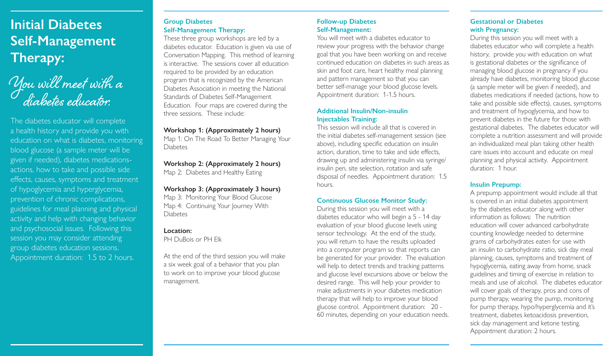## **Initial Diabetes Self-Management Therapy:**

You will meet with a diabetes educator.

The diabetes educator will complete a health history and provide you with education on what is diabetes, monitoring blood glucose (a sample meter will be given if needed), diabetes medicationsactions, how to take and possible side effects, causes, symptoms and treatment of hypoglycemia and hyperglycemia, prevention of chronic complications, guidelines for meal planning and physical activity and help with changing behavior and psychosocial issues. Following this session you may consider attending group diabetes education sessions. Appointment duration: 1.5 to 2 hours.

#### **Group Diabetes Self-Management Therapy:**

These three group workshops are led by a diabetes educator. Education is given via use of Conversation Mapping. This method of learning is interactive. The sessions cover all education required to be provided by an education program that is recognized by the American Diabetes Association in meeting the National Standards of Diabetes Self-Management Education. Four maps are covered during the three sessions. These include:

#### **Workshop 1: (Approximately 2 hours)**

Map 1: On The Road To Better Managing Your Diabetes

## **Workshop 2: (Approximately 2 hours)**

Map 2: Diabetes and Healthy Eating

#### **Workshop 3: (Approximately 3 hours)**

Map 3: Monitoring Your Blood Glucose Map 4: Continuing Your Journey With **Diabetes** 

#### **Location:**

PH DuBois or PH Elk

At the end of the third session you will make a six week goal of a behavior that you plan to work on to improve your blood glucose management.

#### **Follow-up Diabetes Self-Management:**

You will meet with a diabetes educator to review your progress with the behavior change goal that you have been working on and receive continued education on diabetes in such areas as skin and foot care, heart healthy meal planning and pattern management so that you can better self-manage your blood glucose levels. Appointment duration: 1-1.5 hours.

#### **Additional Insulin/Non-insulin Injectables Training:**

This session will include all that is covered in the initial diabetes self-management session (see above), including specific education on insulin action, duration, time to take and side effects, drawing up and administering insulin via syringe/ insulin pen, site selection, rotation and safe disposal of needles. Appointment duration: 1.5 hours.

#### **Continuous Glucose Monitor Study:**

During this session you will meet with a diabetes educator who will begin a 5 - 14 day evaluation of your blood glucose levels using sensor technology. At the end of the study, you will return to have the results uploaded into a computer program so that reports can be generated for your provider. The evaluation will help to detect trends and tracking patterns and glucose level excursions above or below the desired range. This will help your provider to make adjustments in your diabetes medication therapy that will help to improve your blood glucose control. Appointment duration: 20 - 60 minutes, depending on your education needs.

#### **Gestational or Diabetes with Pregnancy:**

During this session you will meet with a diabetes educator who will complete a health history, provide you with education on what is gestational diabetes or the significance of managing blood glucose in pregnancy if you already have diabetes, monitoring blood glucose (a sample meter will be given if needed), and diabetes medications if needed (actions, how to take and possible side effects), causes, symptoms and treatment of hypoglycemia, and how to prevent diabetes in the future for those with gestational diabetes. The diabetes educator will complete a nutrition assessment and will provide an individualized meal plan taking other health care issues into account and educate on meal planning and physical activity. Appointment duration: 1 hour.

#### **Insulin Prepump:**

A prepump appointment would include all that is covered in an initial diabetes appointment by the diabetes educator along with other information as follows: The nutrition education will cover advanced carbohydrate counting knowledge needed to determine grams of carbohydrates eaten for use with an insulin to carbohydrate ratio, sick day meal planning, causes, symptoms and treatment of hypoglycemia, eating away from home, snack guidelines and timing of exercise in relation to meals and use of alcohol. The diabetes educator will cover goals of therapy, pros and cons of pump therapy, wearing the pump, monitoring for pump therapy, hypo/hyperglycemia and it's treatment, diabetes ketoacidosis prevention, sick day management and ketone testing. Appointment duration: 2 hours.